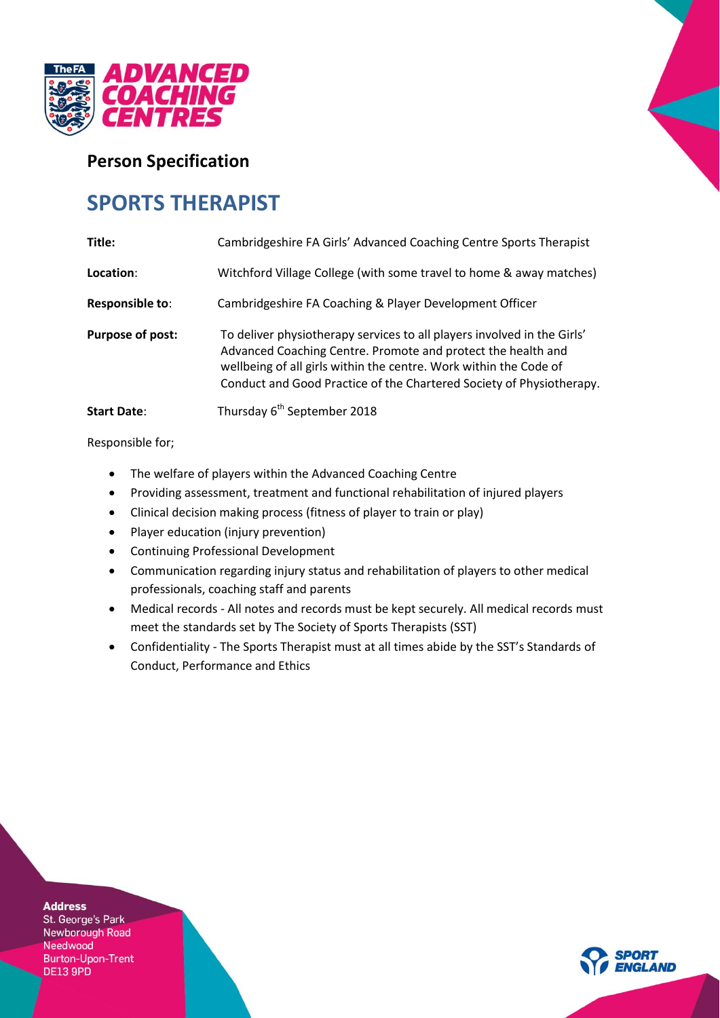

## **Person Specification**

# **SPORTS THERAPIST**

| Title:                 | Cambridgeshire FA Girls' Advanced Coaching Centre Sports Therapist                                                                                                                                                                                                                   |
|------------------------|--------------------------------------------------------------------------------------------------------------------------------------------------------------------------------------------------------------------------------------------------------------------------------------|
| Location:              | Witchford Village College (with some travel to home & away matches)                                                                                                                                                                                                                  |
| <b>Responsible to:</b> | Cambridgeshire FA Coaching & Player Development Officer                                                                                                                                                                                                                              |
| Purpose of post:       | To deliver physiotherapy services to all players involved in the Girls'<br>Advanced Coaching Centre. Promote and protect the health and<br>wellbeing of all girls within the centre. Work within the Code of<br>Conduct and Good Practice of the Chartered Society of Physiotherapy. |
| <b>Start Date:</b>     | Thursday 6 <sup>th</sup> September 2018                                                                                                                                                                                                                                              |

Responsible for;

- The welfare of players within the Advanced Coaching Centre
- Providing assessment, treatment and functional rehabilitation of injured players
- Clinical decision making process (fitness of player to train or play)
- Player education (injury prevention)
- Continuing Professional Development
- Communication regarding injury status and rehabilitation of players to other medical professionals, coaching staff and parents
- Medical records All notes and records must be kept securely. All medical records must meet the standards set by The Society of Sports Therapists (SST)
- Confidentiality The Sports Therapist must at all times abide by the SST's Standards of Conduct, Performance and Ethics

**Address** 

St. George's Park Newborough Road Needwood Burton-Upon-Trent DE13 9PD